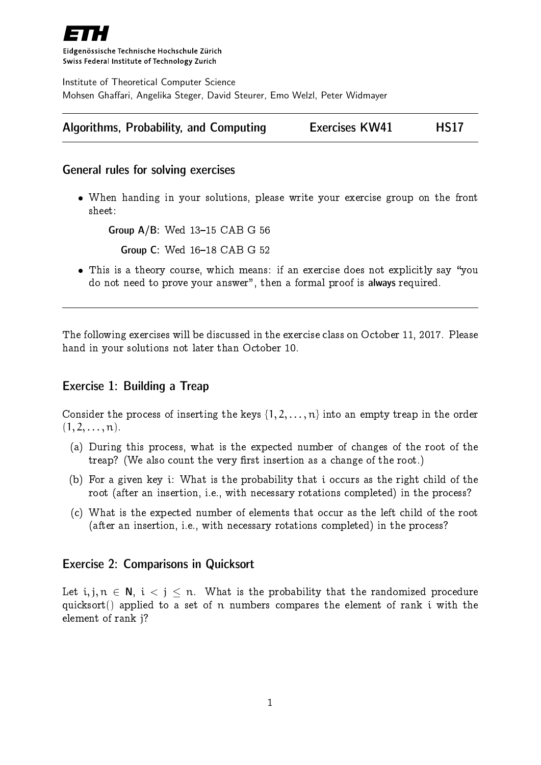

Eidgenössische Technische Hochschule Zürich Swiss Federal Institute of Technology Zurich

Institute of Theoretical Computer Science Mohsen Ghaffari, Angelika Steger, David Steurer, Emo Welzl, Peter Widmayer

|  | Algorithms, Probability, and Computing |  | <b>Exercises KW41</b> | <b>HS17</b> |
|--|----------------------------------------|--|-----------------------|-------------|
|--|----------------------------------------|--|-----------------------|-------------|

### General rules for solving exercises

 When handing in your solutions, please write your exercise group on the front sheet:

Group  $A/B$ : Wed  $13-15$  CAB G 56

**Group C: Wed 16-18 CAB G 52** 

• This is a theory course, which means: if an exercise does not explicitly say "you do not need to prove your answer", then a formal proof is always required.

The following exercises will be discussed in the exercise class on October 11, 2017. Please hand in your solutions not later than October 10.

## Exercise 1: Building a Treap

Consider the process of inserting the keys  $\{1, 2, ..., n\}$  into an empty treap in the order  $(1, 2, \ldots, n).$ 

- (a) During this process, what is the expected number of changes of the root of the treap? (We also count the very first insertion as a change of the root.)
- (b) For a given key i: What is the probability that i occurs as the right child of the root (after an insertion, i.e., with necessary rotations completed) in the process?
- (c) What is the expected number of elements that occur as the left child of the root (after an insertion, i.e., with necessary rotations completed) in the process?

#### Exercise 2: Comparisons in Quicksort

Let i, j,  $n \in N$ ,  $i < j < n$ . What is the probability that the randomized procedure quicksort() applied to a set of n numbers compares the element of rank i with the element of rank j?